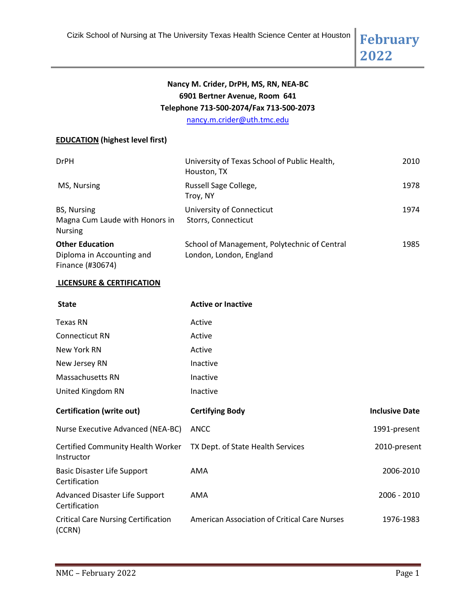**2022**

# **Nancy M. Crider, DrPH, MS, RN, NEA-BC 6901 Bertner Avenue, Room 641 Telephone 713-500-2074/Fax 713-500-2073**

[nancy.m.crider@uth.tmc.edu](mailto:nancy.m.crider@uth.tmc.edu)

## **EDUCATION (highest level first)**

| <b>DrPH</b>                                                             | University of Texas School of Public Health,<br>Houston, TX             | 2010 |
|-------------------------------------------------------------------------|-------------------------------------------------------------------------|------|
| MS, Nursing                                                             | Russell Sage College,<br>Troy, NY                                       | 1978 |
| BS, Nursing<br>Magna Cum Laude with Honors in<br><b>Nursing</b>         | University of Connecticut<br>Storrs, Connecticut                        | 1974 |
| <b>Other Education</b><br>Diploma in Accounting and<br>Finance (#30674) | School of Management, Polytechnic of Central<br>London, London, England | 1985 |

## **LICENSURE & CERTIFICATION**

| <b>State</b>                                           | <b>Active or Inactive</b>                           |                       |
|--------------------------------------------------------|-----------------------------------------------------|-----------------------|
| Texas RN                                               | Active                                              |                       |
| <b>Connecticut RN</b>                                  | Active                                              |                       |
| New York RN                                            | Active                                              |                       |
| New Jersey RN                                          | Inactive                                            |                       |
| Massachusetts RN                                       | Inactive                                            |                       |
| United Kingdom RN                                      | Inactive                                            |                       |
| <b>Certification (write out)</b>                       | <b>Certifying Body</b>                              | <b>Inclusive Date</b> |
| Nurse Executive Advanced (NEA-BC)                      | ANCC                                                | 1991-present          |
| <b>Certified Community Health Worker</b><br>Instructor | TX Dept. of State Health Services                   | 2010-present          |
| <b>Basic Disaster Life Support</b><br>Certification    | AMA                                                 | 2006-2010             |
| Advanced Disaster Life Support<br>Certification        | AMA                                                 | 2006 - 2010           |
| <b>Critical Care Nursing Certification</b><br>(CCRN)   | <b>American Association of Critical Care Nurses</b> | 1976-1983             |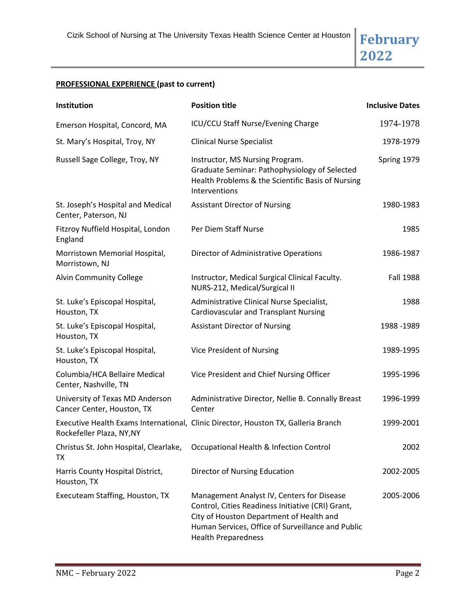# **2022**

# **PROFESSIONAL EXPERIENCE (past to current)**

| Institution                                                   | <b>Position title</b>                                                                                                                                                                                                          | <b>Inclusive Dates</b> |
|---------------------------------------------------------------|--------------------------------------------------------------------------------------------------------------------------------------------------------------------------------------------------------------------------------|------------------------|
| Emerson Hospital, Concord, MA                                 | ICU/CCU Staff Nurse/Evening Charge                                                                                                                                                                                             | 1974-1978              |
| St. Mary's Hospital, Troy, NY                                 | <b>Clinical Nurse Specialist</b>                                                                                                                                                                                               | 1978-1979              |
| Russell Sage College, Troy, NY                                | Instructor, MS Nursing Program.<br>Graduate Seminar: Pathophysiology of Selected<br>Health Problems & the Scientific Basis of Nursing<br>Interventions                                                                         | Spring 1979            |
| St. Joseph's Hospital and Medical<br>Center, Paterson, NJ     | <b>Assistant Director of Nursing</b>                                                                                                                                                                                           | 1980-1983              |
| Fitzroy Nuffield Hospital, London<br>England                  | Per Diem Staff Nurse                                                                                                                                                                                                           | 1985                   |
| Morristown Memorial Hospital,<br>Morristown, NJ               | Director of Administrative Operations                                                                                                                                                                                          | 1986-1987              |
| <b>Alvin Community College</b>                                | Instructor, Medical Surgical Clinical Faculty.<br>NURS-212, Medical/Surgical II                                                                                                                                                | <b>Fall 1988</b>       |
| St. Luke's Episcopal Hospital,<br>Houston, TX                 | Administrative Clinical Nurse Specialist,<br><b>Cardiovascular and Transplant Nursing</b>                                                                                                                                      | 1988                   |
| St. Luke's Episcopal Hospital,<br>Houston, TX                 | <b>Assistant Director of Nursing</b>                                                                                                                                                                                           | 1988 - 1989            |
| St. Luke's Episcopal Hospital,<br>Houston, TX                 | Vice President of Nursing                                                                                                                                                                                                      | 1989-1995              |
| Columbia/HCA Bellaire Medical<br>Center, Nashville, TN        | Vice President and Chief Nursing Officer                                                                                                                                                                                       | 1995-1996              |
| University of Texas MD Anderson<br>Cancer Center, Houston, TX | Administrative Director, Nellie B. Connally Breast<br>Center                                                                                                                                                                   | 1996-1999              |
| Rockefeller Plaza, NY, NY                                     | Executive Health Exams International, Clinic Director, Houston TX, Galleria Branch                                                                                                                                             | 1999-2001              |
| ТX                                                            | Christus St. John Hospital, Clearlake, Occupational Health & Infection Control                                                                                                                                                 | 2002                   |
| Harris County Hospital District,<br>Houston, TX               | Director of Nursing Education                                                                                                                                                                                                  | 2002-2005              |
| Executeam Staffing, Houston, TX                               | Management Analyst IV, Centers for Disease<br>Control, Cities Readiness Initiative (CRI) Grant,<br>City of Houston Department of Health and<br>Human Services, Office of Surveillance and Public<br><b>Health Preparedness</b> | 2005-2006              |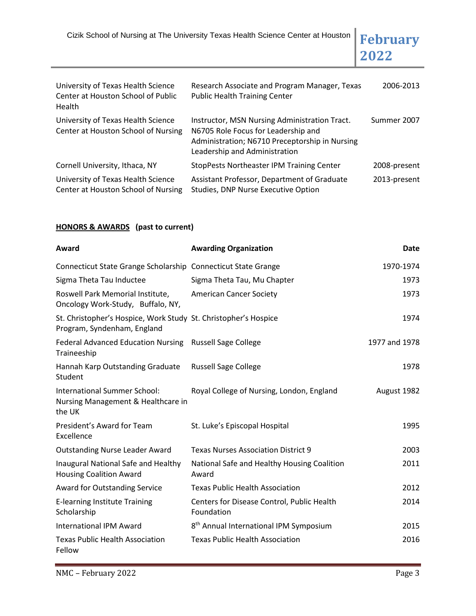Cizik School of Nursing at The University Texas Health Science Center at Houston **February** 



| University of Texas Health Science<br>Center at Houston School of Public<br>Health | Research Associate and Program Manager, Texas<br><b>Public Health Training Center</b>                                                                                   | 2006-2013    |
|------------------------------------------------------------------------------------|-------------------------------------------------------------------------------------------------------------------------------------------------------------------------|--------------|
| University of Texas Health Science<br>Center at Houston School of Nursing          | Instructor, MSN Nursing Administration Tract.<br>N6705 Role Focus for Leadership and<br>Administration; N6710 Preceptorship in Nursing<br>Leadership and Administration | Summer 2007  |
| Cornell University, Ithaca, NY                                                     | StopPests Northeaster IPM Training Center                                                                                                                               | 2008-present |
| University of Texas Health Science<br>Center at Houston School of Nursing          | Assistant Professor, Department of Graduate<br>Studies, DNP Nurse Executive Option                                                                                      | 2013-present |

## **HONORS & AWARDS (past to current)**

| Award                                                                                          | <b>Awarding Organization</b>                             | <b>Date</b>   |
|------------------------------------------------------------------------------------------------|----------------------------------------------------------|---------------|
| Connecticut State Grange Scholarship Connecticut State Grange                                  |                                                          | 1970-1974     |
| Sigma Theta Tau Inductee                                                                       | Sigma Theta Tau, Mu Chapter                              | 1973          |
| Roswell Park Memorial Institute,<br>Oncology Work-Study, Buffalo, NY,                          | <b>American Cancer Society</b>                           | 1973          |
| St. Christopher's Hospice, Work Study St. Christopher's Hospice<br>Program, Syndenham, England |                                                          | 1974          |
| <b>Federal Advanced Education Nursing</b><br>Traineeship                                       | <b>Russell Sage College</b>                              | 1977 and 1978 |
| Hannah Karp Outstanding Graduate<br>Student                                                    | <b>Russell Sage College</b>                              | 1978          |
| International Summer School:<br>Nursing Management & Healthcare in<br>the UK                   | Royal College of Nursing, London, England                | August 1982   |
| President's Award for Team<br>Excellence                                                       | St. Luke's Episcopal Hospital                            | 1995          |
| <b>Outstanding Nurse Leader Award</b>                                                          | <b>Texas Nurses Association District 9</b>               | 2003          |
| Inaugural National Safe and Healthy<br><b>Housing Coalition Award</b>                          | National Safe and Healthy Housing Coalition<br>Award     | 2011          |
| <b>Award for Outstanding Service</b>                                                           | <b>Texas Public Health Association</b>                   | 2012          |
| <b>E-learning Institute Training</b><br>Scholarship                                            | Centers for Disease Control, Public Health<br>Foundation | 2014          |
| International IPM Award                                                                        | 8 <sup>th</sup> Annual International IPM Symposium       | 2015          |
| <b>Texas Public Health Association</b><br>Fellow                                               | <b>Texas Public Health Association</b>                   | 2016          |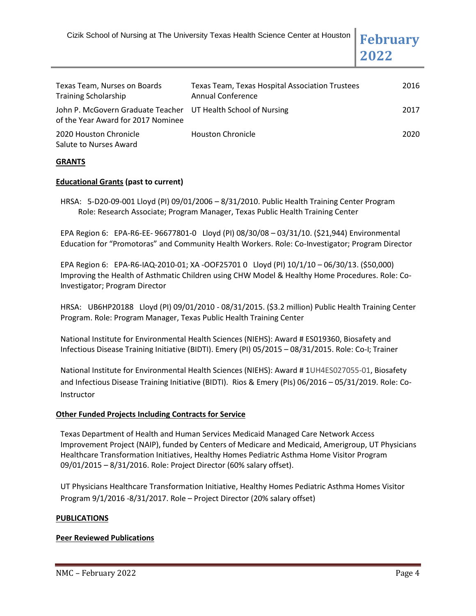**2022**

| Texas Team, Nurses on Boards<br><b>Training Scholarship</b>                                         | <b>Texas Team, Texas Hospital Association Trustees</b><br><b>Annual Conference</b> | 2016 |
|-----------------------------------------------------------------------------------------------------|------------------------------------------------------------------------------------|------|
| John P. McGovern Graduate Teacher UT Health School of Nursing<br>of the Year Award for 2017 Nominee |                                                                                    | 2017 |
| 2020 Houston Chronicle<br>Salute to Nurses Award                                                    | <b>Houston Chronicle</b>                                                           | 2020 |

#### **GRANTS**

#### **Educational Grants (past to current)**

HRSA: 5-D20-09-001 Lloyd (PI) 09/01/2006 – 8/31/2010. Public Health Training Center Program Role: Research Associate; Program Manager, Texas Public Health Training Center

EPA Region 6: EPA-R6-EE- 96677801-0 Lloyd (PI) 08/30/08 – 03/31/10. (\$21,944) Environmental Education for "Promotoras" and Community Health Workers. Role: Co-Investigator; Program Director

EPA Region 6: EPA-R6-IAQ-2010-01; XA -OOF25701 0 Lloyd (PI) 10/1/10 – 06/30/13. (\$50,000) Improving the Health of Asthmatic Children using CHW Model & Healthy Home Procedures. Role: Co-Investigator; Program Director

HRSA: UB6HP20188 Lloyd (PI) 09/01/2010 - 08/31/2015. (\$3.2 million) Public Health Training Center Program. Role: Program Manager, Texas Public Health Training Center

National Institute for Environmental Health Sciences (NIEHS): Award # ES019360, Biosafety and Infectious Disease Training Initiative (BIDTI). Emery (PI) 05/2015 – 08/31/2015. Role: Co-I; Trainer

National Institute for Environmental Health Sciences (NIEHS): Award # 1UH4ES027055-01, Biosafety and Infectious Disease Training Initiative (BIDTI). Rios & Emery (PIs) 06/2016 – 05/31/2019. Role: Co-Instructor

#### **Other Funded Projects Including Contracts for Service**

Texas Department of Health and Human Services Medicaid Managed Care Network Access Improvement Project (NAIP), funded by Centers of Medicare and Medicaid, Amerigroup, UT Physicians Healthcare Transformation Initiatives, Healthy Homes Pediatric Asthma Home Visitor Program 09/01/2015 – 8/31/2016. Role: Project Director (60% salary offset).

UT Physicians Healthcare Transformation Initiative, Healthy Homes Pediatric Asthma Homes Visitor Program 9/1/2016 -8/31/2017. Role – Project Director (20% salary offset)

#### **PUBLICATIONS**

#### **Peer Reviewed Publications**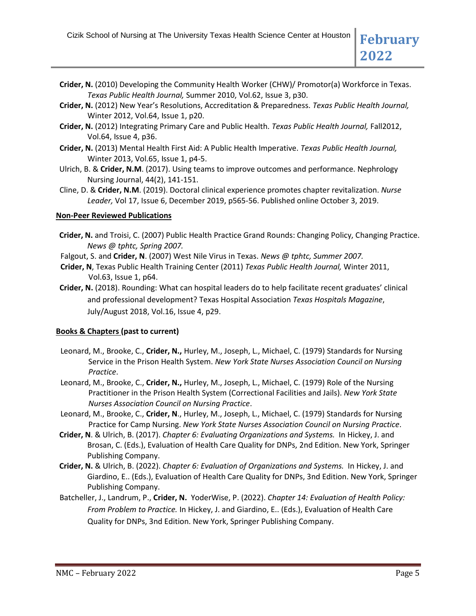- **Crider, N.** (2010) Developing the Community Health Worker (CHW)/ Promotor(a) Workforce in Texas. *Texas Public Health Journal,* Summer 2010, Vol.62, Issue 3, p30.
- **Crider, N.** (2012) New Year's Resolutions, Accreditation & Preparedness. *Texas Public Health Journal,*  Winter 2012, Vol.64, Issue 1, p20.
- **Crider, N.** (2012) Integrating Primary Care and Public Health. *Texas Public Health Journal,* Fall2012, Vol.64, Issue 4, p36.
- **Crider, N.** (2013) Mental Health First Aid: A Public Health Imperative. *Texas Public Health Journal,*  Winter 2013, Vol.65, Issue 1, p4-5.
- Ulrich, B. & **Crider, N.M**. (2017). Using teams to improve outcomes and performance. Nephrology Nursing Journal, 44(2), 141-151.
- Cline, D. & **Crider, N.M**. (2019). Doctoral clinical experience promotes chapter revitalization. *Nurse Leader,* Vol 17, Issue 6, December 2019, p565-56. Published online October 3, 2019.

## **Non-Peer Reviewed Publications**

- **Crider, N.** and Troisi, C. (2007) Public Health Practice Grand Rounds: Changing Policy, Changing Practice. *News @ tphtc, Spring 2007.*
- Falgout, S. and **Crider, N**. (2007) West Nile Virus in Texas. *News @ tphtc, Summer 2007.*
- **Crider, N**, Texas Public Health Training Center (2011) *Texas Public Health Journal,* Winter 2011, Vol.63, Issue 1, p64.
- **Crider, N.** (2018). Rounding: What can hospital leaders do to help facilitate recent graduates' clinical and professional development? Texas Hospital Association *Texas Hospitals Magazine*, July/August 2018, Vol.16, Issue 4, p29.

## **Books & Chapters (past to current)**

- Leonard, M., Brooke, C., **Crider, N.,** Hurley, M., Joseph, L., Michael, C. (1979) Standards for Nursing Service in the Prison Health System. *New York State Nurses Association Council on Nursing Practice*.
- Leonard, M., Brooke, C., **Crider, N.,** Hurley, M., Joseph, L., Michael, C. (1979) Role of the Nursing Practitioner in the Prison Health System (Correctional Facilities and Jails). *New York State Nurses Association Council on Nursing Practice*.
- Leonard, M., Brooke, C., **Crider, N**., Hurley, M., Joseph, L., Michael, C. (1979) Standards for Nursing Practice for Camp Nursing. *New York State Nurses Association Council on Nursing Practice*.
- **Crider, N**. & Ulrich, B. (2017). *Chapter 6: Evaluating Organizations and Systems.* In Hickey, J. and Brosan, C. (Eds.), Evaluation of Health Care Quality for DNPs, 2nd Edition. New York, Springer Publishing Company.
- **Crider, N.** & Ulrich, B. (2022). *Chapter 6: Evaluation of Organizations and Systems.* In Hickey, J. and Giardino, E.. (Eds.), Evaluation of Health Care Quality for DNPs, 3nd Edition. New York, Springer Publishing Company.
- Batcheller, J., Landrum, P., **Crider, N.** YoderWise, P. (2022). *Chapter 14: Evaluation of Health Policy: From Problem to Practice.* In Hickey, J. and Giardino, E.. (Eds.), Evaluation of Health Care Quality for DNPs, 3nd Edition. New York, Springer Publishing Company.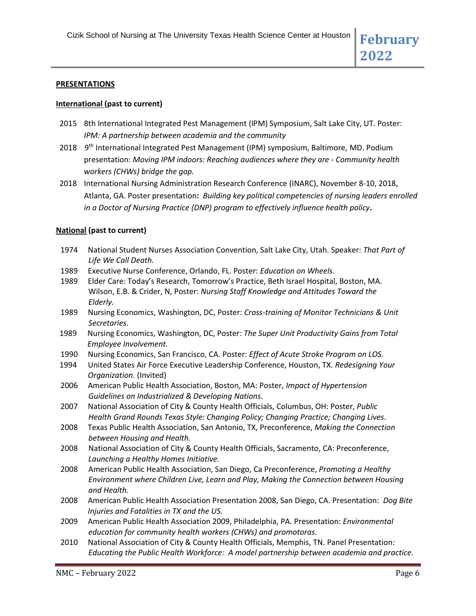#### **PRESENTATIONS**

#### **International (past to current)**

- 2015 8th International Integrated Pest Management (IPM) Symposium, Salt Lake City, UT. Poster: *IPM: A partnership between academia and the community*
- 2018 9<sup>th</sup> International Integrated Pest Management (IPM) symposium, Baltimore, MD. Podium presentation: *Moving IPM indoors: Reaching audiences where they are - Community health workers (CHWs) bridge the gap.*
- 2018 International Nursing Administration Research Conference (INARC), November 8-10, 2018, Atlanta, GA. Poster presentation**:** *Building key political competencies of nursing leaders enrolled in a Doctor of Nursing Practice (DNP) program to effectively influence health policy***.**

#### **National (past to current)**

- 1974 National Student Nurses Association Convention, Salt Lake City, Utah. Speaker: *That Part of Life We Call Death.*
- 1989 Executive Nurse Conference, Orlando, FL. Poster: *Education on Wheels.*
- 1989 Elder Care: Today's Research, Tomorrow's Practice, Beth Israel Hospital, Boston, MA. Wilson, E.B. & Crider, N, Poster: *Nursing Staff Knowledge and Attitudes Toward the Elderly.*
- 1989 Nursing Economics, Washington, DC, Poster: *Cross-training of Monitor Technicians & Unit Secretaries.*
- 1989 Nursing Economics, Washington, DC, Poster: *The Super Unit Productivity Gains from Total Employee Involvement.*
- 1990 Nursing Economics, San Francisco, CA. Poster: *Effect of Acute Stroke Program on LOS.*
- 1994 United States Air Force Executive Leadership Conference, Houston, TX. *Redesigning Your Organization.* (Invited)
- 2006 American Public Health Association, Boston, MA: Poster, *Impact of Hypertension Guidelines on Industrialized & Developing Nations.*
- 2007 National Association of City & County Health Officials, Columbus, OH: Poster, *Public Health Grand Rounds Texas Style: Changing Policy; Changing Practice; Changing Lives.*
- 2008 Texas Public Health Association, San Antonio, TX, Preconference, *Making the Connection between Housing and Health.*
- 2008 National Association of City & County Health Officials, Sacramento, CA: Preconference, *Launching a Healthy Homes Initiative.*
- 2008 American Public Health Association, San Diego, Ca Preconference, *Promoting a Healthy Environment where Children Live, Learn and Play, Making the Connection between Housing and Health.*
- 2008 American Public Health Association Presentation 2008, San Diego, CA. Presentation: *Dog Bite Injuries and Fatalities in TX and the US.*
- 2009 American Public Health Association 2009, Philadelphia, PA. Presentation: *Environmental education for community health workers (CHWs) and promotoras.*
- 2010 National Association of City & County Health Officials, Memphis, TN. Panel Presentation: *Educating the Public Health Workforce: A model partnership between academia and practice.*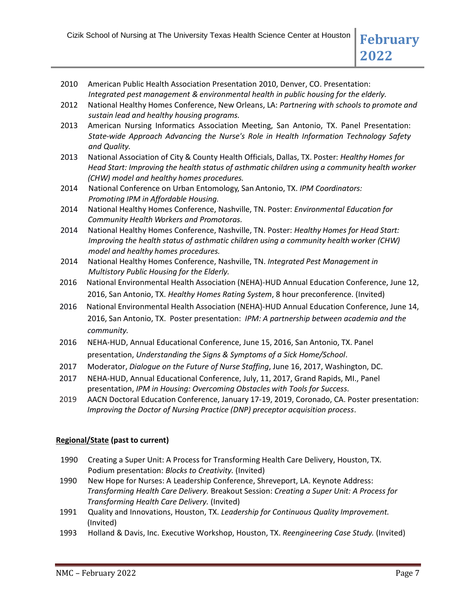- 2010 American Public Health Association Presentation 2010, Denver, CO. Presentation: *Integrated pest management & environmental health in public housing for the elderly.*
- 2012 National Healthy Homes Conference, New Orleans, LA: *Partnering with schools to promote and sustain lead and healthy housing programs.*
- 2013 American Nursing Informatics Association Meeting, San Antonio, TX. Panel Presentation: *State-wide Approach Advancing the Nurse's Role in Health Information Technology Safety and Quality.*
- 2013 National Association of City & County Health Officials, Dallas, TX. Poster: *Healthy Homes for Head Start: Improving the health status of asthmatic children using a community health worker (CHW) model and healthy homes procedures.*
- 2014 National Conference on Urban Entomology, San Antonio, TX. *IPM Coordinators: Promoting IPM in Affordable Housing.*
- 2014 National Healthy Homes Conference, Nashville, TN. Poster: *Environmental Education for Community Health Workers and Promotoras.*
- 2014 National Healthy Homes Conference, Nashville, TN. Poster: *Healthy Homes for Head Start: Improving the health status of asthmatic children using a community health worker (CHW) model and healthy homes procedures.*
- 2014 National Healthy Homes Conference, Nashville, TN. *Integrated Pest Management in Multistory Public Housing for the Elderly.*
- 2016 National Environmental Health Association (NEHA)-HUD Annual Education Conference, June 12, 2016, San Antonio, TX. *Healthy Homes Rating System*, 8 hour preconference. (Invited)
- 2016 National Environmental Health Association (NEHA)-HUD Annual Education Conference, June 14, 2016, San Antonio, TX. Poster presentation: *IPM: A partnership between academia and the community.*
- 2016 NEHA-HUD, Annual Educational Conference, June 15, 2016, San Antonio, TX. Panel presentation, *Understanding the Signs & Symptoms of a Sick Home/School*.
- 2017 Moderator, *Dialogue on the Future of Nurse Staffing*, June 16, 2017, Washington, DC.
- 2017 NEHA-HUD, Annual Educational Conference, July, 11, 2017, Grand Rapids, MI., Panel presentation, *IPM in Housing: Overcoming Obstacles with Tools for Success.*
- 2019 AACN Doctoral Education Conference, January 17-19, 2019, Coronado, CA. Poster presentation: *Improving the Doctor of Nursing Practice (DNP) preceptor acquisition process*.

## **Regional/State (past to current)**

- 1990 Creating a Super Unit: A Process for Transforming Health Care Delivery, Houston, TX. Podium presentation: *Blocks to Creativity.* (Invited)
- 1990 New Hope for Nurses: A Leadership Conference, Shreveport, LA. Keynote Address: *Transforming Health Care Delivery.* Breakout Session: *Creating a Super Unit: A Process for Transforming Health Care Delivery.* (Invited)
- 1991 Quality and Innovations, Houston, TX. *Leadership for Continuous Quality Improvement.*  (Invited)
- 1993 Holland & Davis, Inc. Executive Workshop, Houston, TX. *Reengineering Case Study.* (Invited)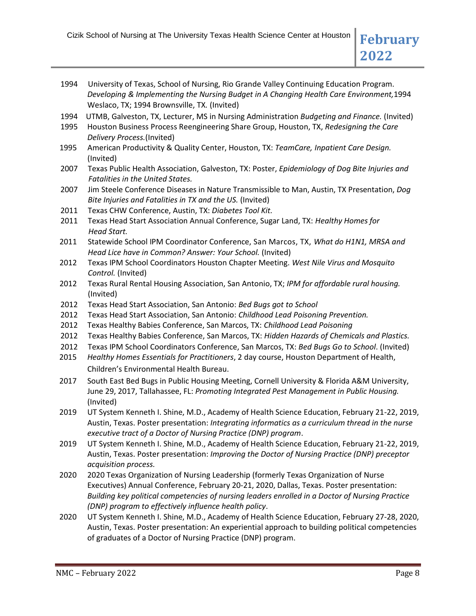- 1994 University of Texas, School of Nursing, Rio Grande Valley Continuing Education Program. *Developing & Implementing the Nursing Budget in A Changing Health Care Environment,*1994 Weslaco, TX; 1994 Brownsville, TX*.* (Invited)
- 1994 UTMB, Galveston, TX, Lecturer, MS in Nursing Administration *Budgeting and Finance.* (Invited)
- 1995 Houston Business Process Reengineering Share Group, Houston, TX, *Redesigning the Care Delivery Process.*(Invited)
- 1995 American Productivity & Quality Center, Houston, TX: *TeamCare, Inpatient Care Design.* (Invited)
- 2007 Texas Public Health Association, Galveston, TX: Poster, *Epidemiology of Dog Bite Injuries and Fatalities in the United States.*
- 2007 Jim Steele Conference Diseases in Nature Transmissible to Man, Austin, TX Presentation, *Dog Bite Injuries and Fatalities in TX and the US.* (Invited)
- 2011 Texas CHW Conference, Austin, TX: *Diabetes Tool Kit.*
- 2011 Texas Head Start Association Annual Conference, Sugar Land, TX: *Healthy Homes for Head Start.*
- 2011 Statewide School IPM Coordinator Conference, San Marcos, TX, *What do H1N1, MRSA and Head Lice have in Common? Answer: Your School.* (Invited)
- 2012 Texas IPM School Coordinators Houston Chapter Meeting. *West Nile Virus and Mosquito Control.* (Invited)
- 2012 Texas Rural Rental Housing Association, San Antonio, TX; *IPM for affordable rural housing.* (Invited)
- 2012 Texas Head Start Association, San Antonio: *Bed Bugs got to School*
- 2012 Texas Head Start Association, San Antonio: *Childhood Lead Poisoning Prevention.*
- 2012 Texas Healthy Babies Conference, San Marcos, TX: *Childhood Lead Poisoning*
- 2012 Texas Healthy Babies Conference, San Marcos, TX: *Hidden Hazards of Chemicals and Plastics.*
- 2012 Texas IPM School Coordinators Conference, San Marcos, TX: *Bed Bugs Go to School*. (Invited)
- 2015 *Healthy Homes Essentials for Practitioners*, 2 day course, Houston Department of Health, Children's Environmental Health Bureau.
- 2017 South East Bed Bugs in Public Housing Meeting, Cornell University & Florida A&M University, June 29, 2017, Tallahassee, FL: *Promoting Integrated Pest Management in Public Housing.*  (Invited)
- 2019 UT System Kenneth I. Shine, M.D., Academy of Health Science Education, February 21-22, 2019, Austin, Texas. Poster presentation: *Integrating informatics as a curriculum thread in the nurse executive tract of a Doctor of Nursing Practice (DNP) program*.
- 2019 UT System Kenneth I. Shine, M.D., Academy of Health Science Education, February 21-22, 2019, Austin, Texas. Poster presentation: *Improving the Doctor of Nursing Practice (DNP) preceptor acquisition process.*
- 2020 2020 Texas Organization of Nursing Leadership (formerly Texas Organization of Nurse Executives) Annual Conference, February 20-21, 2020, Dallas, Texas. Poster presentation: *Building key political competencies of nursing leaders enrolled in a Doctor of Nursing Practice (DNP) program to effectively influence health policy*.
- 2020 UT System Kenneth I. Shine, M.D., Academy of Health Science Education, February 27-28, 2020, Austin, Texas. Poster presentation: An experiential approach to building political competencies of graduates of a Doctor of Nursing Practice (DNP) program.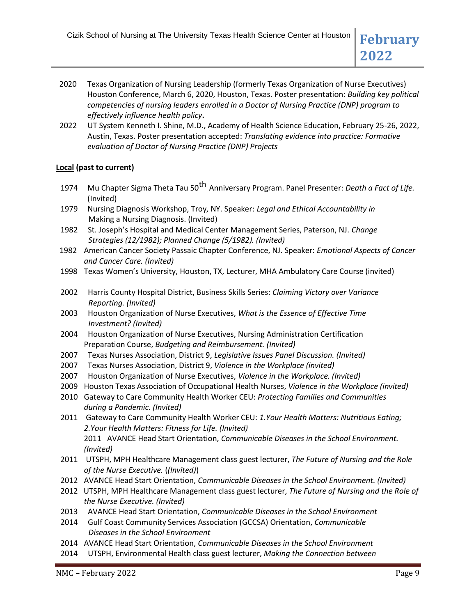- 2020 Texas Organization of Nursing Leadership (formerly Texas Organization of Nurse Executives) Houston Conference, March 6, 2020, Houston, Texas. Poster presentation: *Building key political competencies of nursing leaders enrolled in a Doctor of Nursing Practice (DNP) program to effectively influence health policy***.**
- 2022 UT System Kenneth I. Shine, M.D., Academy of Health Science Education, February 25-26, 2022, Austin, Texas. Poster presentation accepted: *Translating evidence into practice: Formative evaluation of Doctor of Nursing Practice (DNP) Projects*

## **Local (past to current)**

- 1974 Mu Chapter Sigma Theta Tau 50<sup>th</sup> Anniversary Program. Panel Presenter: *Death a Fact of Life.* (Invited)
- 1979 Nursing Diagnosis Workshop, Troy, NY. Speaker: *Legal and Ethical Accountability in* Making a Nursing Diagnosis. (Invited)
- 1982 St. Joseph's Hospital and Medical Center Management Series, Paterson, NJ. *Change Strategies (12/1982); Planned Change (5/1982). (Invited)*
- 1982 American Cancer Society Passaic Chapter Conference, NJ. Speaker: *Emotional Aspects of Cancer and Cancer Care. (Invited)*
- 1998 Texas Women's University, Houston, TX, Lecturer, MHA Ambulatory Care Course (invited)
- 2002 Harris County Hospital District, Business Skills Series: *Claiming Victory over Variance Reporting. (Invited)*
- 2003 Houston Organization of Nurse Executives, *What is the Essence of Effective Time Investment? (Invited)*
- 2004 Houston Organization of Nurse Executives, Nursing Administration Certification Preparation Course, *Budgeting and Reimbursement. (Invited)*
- 2007 Texas Nurses Association, District 9, *Legislative Issues Panel Discussion. (Invited)*
- 2007 Texas Nurses Association, District 9, *Violence in the Workplace (invited)*
- 2007 Houston Organization of Nurse Executives, *Violence in the Workplace. (Invited)*
- 2009 Houston Texas Association of Occupational Health Nurses, *Violence in the Workplace (invited)*
- 2010 Gateway to Care Community Health Worker CEU: *Protecting Families and Communities during a Pandemic. (Invited)*
- 2011 Gateway to Care Community Health Worker CEU: *1.Your Health Matters: Nutritious Eating; 2.Your Health Matters: Fitness for Life. (Invited)* 2011 AVANCE Head Start Orientation, *Communicable Diseases in the School Environment. (Invited)*
- 2011 UTSPH, MPH Healthcare Management class guest lecturer, *The Future of Nursing and the Role of the Nurse Executive.* (*(Invited)*)
- 2012 AVANCE Head Start Orientation, *Communicable Diseases in the School Environment. (Invited)*
- 2012 UTSPH, MPH Healthcare Management class guest lecturer, *The Future of Nursing and the Role of the Nurse Executive. (Invited)*
- 2013 AVANCE Head Start Orientation, *Communicable Diseases in the School Environment*
- 2014 Gulf Coast Community Services Association (GCCSA) Orientation, *Communicable Diseases in the School Environment*
- 2014 AVANCE Head Start Orientation, *Communicable Diseases in the School Environment*
- 2014 UTSPH, Environmental Health class guest lecturer, *Making the Connection between*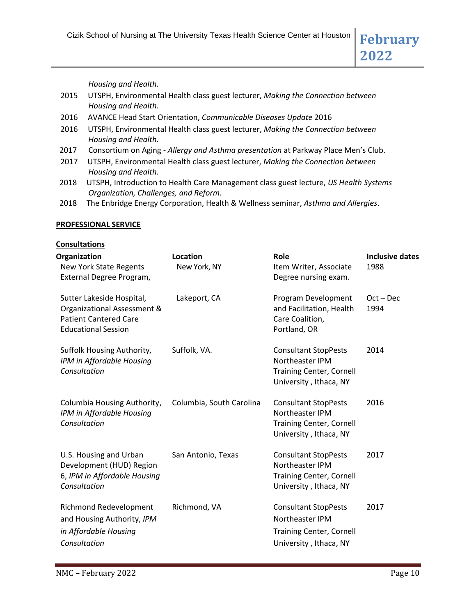*Housing and Health.*

- 2015 UTSPH, Environmental Health class guest lecturer, *Making the Connection between Housing and Health.*
- 2016 AVANCE Head Start Orientation, *Communicable Diseases Update* 2016
- 2016 UTSPH, Environmental Health class guest lecturer, *Making the Connection between Housing and Health.*
- 2017 Consortium on Aging *Allergy and Asthma presentation* at Parkway Place Men's Club.
- 2017 UTSPH, Environmental Health class guest lecturer, *Making the Connection between Housing and Health.*
- 2018 UTSPH, Introduction to Health Care Management class guest lecture, *US Health Systems Organization, Challenges, and Reform.*
- 2018 The Enbridge Energy Corporation, Health & Wellness seminar, *Asthma and Allergies*.

#### **PROFESSIONAL SERVICE**

**Consultations**

| ๛๛๛๛๛                                                                                                                  |                                 |                                                                                                             |                                |
|------------------------------------------------------------------------------------------------------------------------|---------------------------------|-------------------------------------------------------------------------------------------------------------|--------------------------------|
| Organization<br>New York State Regents<br>External Degree Program,                                                     | <b>Location</b><br>New York, NY | Role<br>Item Writer, Associate<br>Degree nursing exam.                                                      | <b>Inclusive dates</b><br>1988 |
| Sutter Lakeside Hospital,<br>Organizational Assessment &<br><b>Patient Cantered Care</b><br><b>Educational Session</b> | Lakeport, CA                    | Program Development<br>and Facilitation, Health<br>Care Coalition,<br>Portland, OR                          | $Oct - Dec$<br>1994            |
| Suffolk Housing Authority,<br>IPM in Affordable Housing<br>Consultation                                                | Suffolk, VA.                    | <b>Consultant StopPests</b><br>Northeaster IPM<br><b>Training Center, Cornell</b><br>University, Ithaca, NY | 2014                           |
| Columbia Housing Authority,<br>IPM in Affordable Housing<br>Consultation                                               | Columbia, South Carolina        | <b>Consultant StopPests</b><br>Northeaster IPM<br><b>Training Center, Cornell</b><br>University, Ithaca, NY | 2016                           |
| U.S. Housing and Urban<br>Development (HUD) Region<br>6, IPM in Affordable Housing<br>Consultation                     | San Antonio, Texas              | <b>Consultant StopPests</b><br>Northeaster IPM<br><b>Training Center, Cornell</b><br>University, Ithaca, NY | 2017                           |
| <b>Richmond Redevelopment</b><br>and Housing Authority, IPM<br>in Affordable Housing<br>Consultation                   | Richmond, VA                    | <b>Consultant StopPests</b><br>Northeaster IPM<br><b>Training Center, Cornell</b><br>University, Ithaca, NY | 2017                           |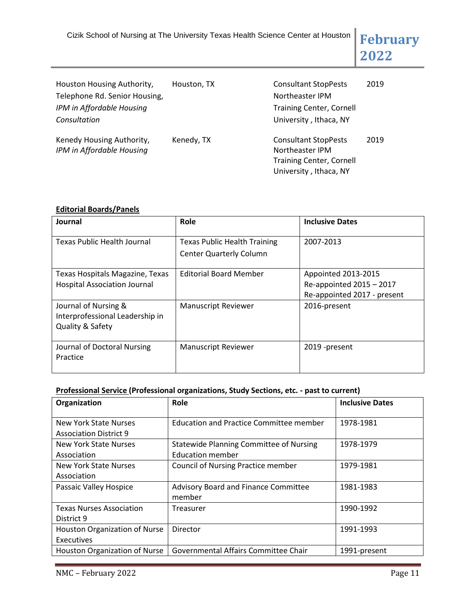| Houston Housing Authority,<br>Telephone Rd. Senior Housing,<br>IPM in Affordable Housing<br>Consultation | Houston, TX | <b>Consultant StopPests</b><br>Northeaster IPM<br><b>Training Center, Cornell</b><br>University, Ithaca, NY | 2019 |
|----------------------------------------------------------------------------------------------------------|-------------|-------------------------------------------------------------------------------------------------------------|------|
| Kenedy Housing Authority,<br>IPM in Affordable Housing                                                   | Kenedy, TX  | <b>Consultant StopPests</b><br>Northeaster IPM<br><b>Training Center, Cornell</b><br>University, Ithaca, NY | 2019 |

## **Editorial Boards/Panels**

| Journal                                                                     | Role                                                                  | <b>Inclusive Dates</b>                                                         |
|-----------------------------------------------------------------------------|-----------------------------------------------------------------------|--------------------------------------------------------------------------------|
| Texas Public Health Journal                                                 | <b>Texas Public Health Training</b><br><b>Center Quarterly Column</b> | 2007-2013                                                                      |
| Texas Hospitals Magazine, Texas<br><b>Hospital Association Journal</b>      | <b>Editorial Board Member</b>                                         | Appointed 2013-2015<br>Re-appointed 2015 - 2017<br>Re-appointed 2017 - present |
| Journal of Nursing &<br>Interprofessional Leadership in<br>Quality & Safety | <b>Manuscript Reviewer</b>                                            | 2016-present                                                                   |
| Journal of Doctoral Nursing<br>Practice                                     | <b>Manuscript Reviewer</b>                                            | 2019 -present                                                                  |

## **Professional Service (Professional organizations, Study Sections, etc. - past to current)**

| Organization                                           | Role                                                                      | <b>Inclusive Dates</b> |
|--------------------------------------------------------|---------------------------------------------------------------------------|------------------------|
| New York State Nurses<br><b>Association District 9</b> | <b>Education and Practice Committee member</b>                            | 1978-1981              |
| New York State Nurses<br>Association                   | <b>Statewide Planning Committee of Nursing</b><br><b>Education member</b> | 1978-1979              |
| New York State Nurses<br>Association                   | <b>Council of Nursing Practice member</b>                                 | 1979-1981              |
| Passaic Valley Hospice                                 | Advisory Board and Finance Committee<br>member                            | 1981-1983              |
| <b>Texas Nurses Association</b><br>District 9          | Treasurer                                                                 | 1990-1992              |
| Houston Organization of Nurse<br>Executives            | Director                                                                  | 1991-1993              |
| Houston Organization of Nurse                          | Governmental Affairs Committee Chair                                      | 1991-present           |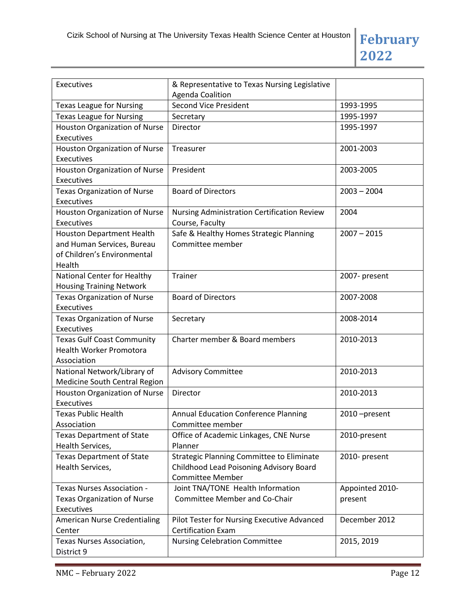

| Executives                                      | & Representative to Texas Nursing Legislative<br>Agenda Coalition |                 |
|-------------------------------------------------|-------------------------------------------------------------------|-----------------|
| <b>Texas League for Nursing</b>                 | <b>Second Vice President</b>                                      | 1993-1995       |
| <b>Texas League for Nursing</b>                 | Secretary                                                         | 1995-1997       |
| Houston Organization of Nurse                   | Director                                                          | 1995-1997       |
| Executives                                      |                                                                   |                 |
| Houston Organization of Nurse                   | Treasurer                                                         | 2001-2003       |
| Executives                                      |                                                                   |                 |
| <b>Houston Organization of Nurse</b>            | President                                                         | 2003-2005       |
| Executives                                      |                                                                   |                 |
| <b>Texas Organization of Nurse</b>              | <b>Board of Directors</b>                                         | $2003 - 2004$   |
| Executives                                      |                                                                   |                 |
| Houston Organization of Nurse                   | Nursing Administration Certification Review                       | 2004            |
| Executives                                      | Course, Faculty                                                   |                 |
| <b>Houston Department Health</b>                | Safe & Healthy Homes Strategic Planning                           | $2007 - 2015$   |
| and Human Services, Bureau                      | Committee member                                                  |                 |
| of Children's Environmental                     |                                                                   |                 |
| Health                                          |                                                                   |                 |
| National Center for Healthy                     | Trainer                                                           | 2007- present   |
| <b>Housing Training Network</b>                 |                                                                   |                 |
| <b>Texas Organization of Nurse</b>              | <b>Board of Directors</b>                                         | 2007-2008       |
| Executives                                      |                                                                   |                 |
| <b>Texas Organization of Nurse</b>              | Secretary                                                         | 2008-2014       |
| Executives<br><b>Texas Gulf Coast Community</b> | Charter member & Board members                                    | 2010-2013       |
| <b>Health Worker Promotora</b>                  |                                                                   |                 |
| Association                                     |                                                                   |                 |
| National Network/Library of                     | <b>Advisory Committee</b>                                         | 2010-2013       |
| Medicine South Central Region                   |                                                                   |                 |
| Houston Organization of Nurse                   | Director                                                          | 2010-2013       |
| Executives                                      |                                                                   |                 |
| <b>Texas Public Health</b>                      | <b>Annual Education Conference Planning</b>                       | 2010-present    |
| Association                                     | Committee member                                                  |                 |
| <b>Texas Department of State</b>                | Office of Academic Linkages, CNE Nurse                            | 2010-present    |
| Health Services,                                | Planner                                                           |                 |
| <b>Texas Department of State</b>                | <b>Strategic Planning Committee to Eliminate</b>                  | 2010- present   |
| Health Services,                                | Childhood Lead Poisoning Advisory Board                           |                 |
|                                                 | <b>Committee Member</b>                                           |                 |
| <b>Texas Nurses Association -</b>               | Joint TNA/TONE Health Information                                 | Appointed 2010- |
| <b>Texas Organization of Nurse</b>              | <b>Committee Member and Co-Chair</b>                              | present         |
| <b>Executives</b>                               |                                                                   |                 |
| <b>American Nurse Credentialing</b>             | Pilot Tester for Nursing Executive Advanced                       | December 2012   |
| Center                                          | <b>Certification Exam</b>                                         |                 |
| Texas Nurses Association,                       | <b>Nursing Celebration Committee</b>                              | 2015, 2019      |
| District 9                                      |                                                                   |                 |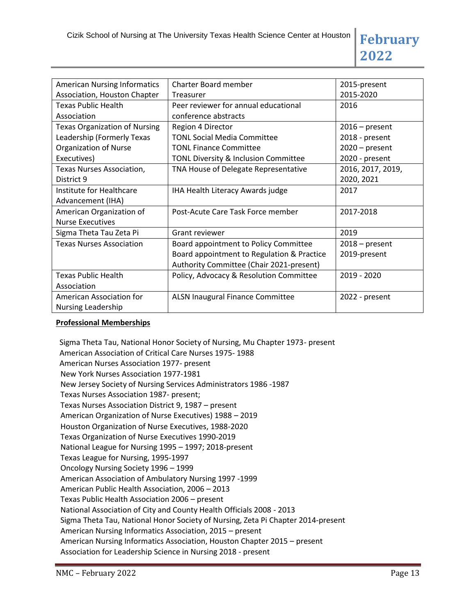| <b>American Nursing Informatics</b>  | Charter Board member                       | 2015-present      |
|--------------------------------------|--------------------------------------------|-------------------|
| Association, Houston Chapter         | Treasurer                                  | 2015-2020         |
| <b>Texas Public Health</b>           | Peer reviewer for annual educational       | 2016              |
| Association                          | conference abstracts                       |                   |
| <b>Texas Organization of Nursing</b> | Region 4 Director                          | $2016$ – present  |
| Leadership (Formerly Texas           | <b>TONL Social Media Committee</b>         | 2018 - present    |
| <b>Organization of Nurse</b>         | <b>TONL Finance Committee</b>              | $2020 - present$  |
| Executives)                          | TONL Diversity & Inclusion Committee       | 2020 - present    |
| Texas Nurses Association,            | TNA House of Delegate Representative       | 2016, 2017, 2019, |
| District 9                           |                                            | 2020, 2021        |
| Institute for Healthcare             | IHA Health Literacy Awards judge           | 2017              |
| Advancement (IHA)                    |                                            |                   |
| American Organization of             | Post-Acute Care Task Force member          | 2017-2018         |
| <b>Nurse Executives</b>              |                                            |                   |
| Sigma Theta Tau Zeta Pi              | <b>Grant reviewer</b>                      | 2019              |
| <b>Texas Nurses Association</b>      | Board appointment to Policy Committee      | $2018 - present$  |
|                                      | Board appointment to Regulation & Practice | 2019-present      |
|                                      | Authority Committee (Chair 2021-present)   |                   |
| <b>Texas Public Health</b>           | Policy, Advocacy & Resolution Committee    | 2019 - 2020       |
| Association                          |                                            |                   |
| American Association for             | ALSN Inaugural Finance Committee           | 2022 - present    |
| <b>Nursing Leadership</b>            |                                            |                   |

## **Professional Memberships**

Sigma Theta Tau, National Honor Society of Nursing, Mu Chapter 1973- present American Association of Critical Care Nurses 1975- 1988 American Nurses Association 1977- present New York Nurses Association 1977-1981 New Jersey Society of Nursing Services Administrators 1986 -1987 Texas Nurses Association 1987- present; Texas Nurses Association District 9, 1987 – present American Organization of Nurse Executives) 1988 – 2019 Houston Organization of Nurse Executives, 1988-2020 Texas Organization of Nurse Executives 1990-2019 National League for Nursing 1995 – 1997; 2018-present Texas League for Nursing, 1995-1997 Oncology Nursing Society 1996 – 1999 American Association of Ambulatory Nursing 1997 -1999 American Public Health Association, 2006 – 2013 Texas Public Health Association 2006 – present National Association of City and County Health Officials 2008 - 2013 Sigma Theta Tau, National Honor Society of Nursing, Zeta Pi Chapter 2014-present American Nursing Informatics Association, 2015 – present American Nursing Informatics Association, Houston Chapter 2015 – present Association for Leadership Science in Nursing 2018 - present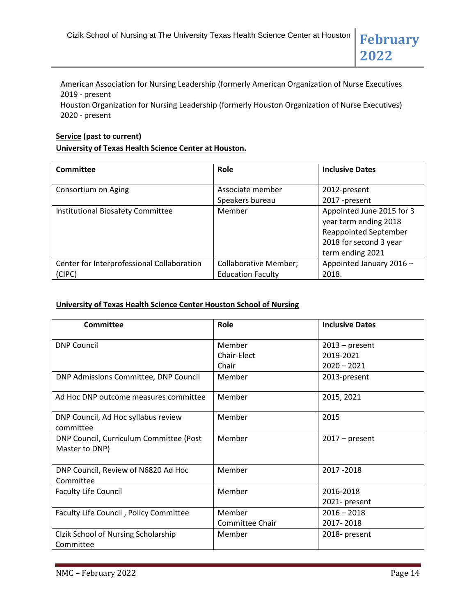American Association for Nursing Leadership (formerly American Organization of Nurse Executives 2019 - present

Houston Organization for Nursing Leadership (formerly Houston Organization of Nurse Executives) 2020 - present

#### **Service (past to current)**

#### **University of Texas Health Science Center at Houston.**

| <b>Committee</b>                           | Role                         | <b>Inclusive Dates</b>       |
|--------------------------------------------|------------------------------|------------------------------|
|                                            |                              |                              |
| Consortium on Aging                        | Associate member             | 2012-present                 |
|                                            | Speakers bureau              | 2017 -present                |
| Institutional Biosafety Committee          | Member                       | Appointed June 2015 for 3    |
|                                            |                              | year term ending 2018        |
|                                            |                              | <b>Reappointed September</b> |
|                                            |                              | 2018 for second 3 year       |
|                                            |                              | term ending 2021             |
| Center for Interprofessional Collaboration | <b>Collaborative Member;</b> | Appointed January 2016 -     |
| (CIPC)                                     | <b>Education Faculty</b>     | 2018.                        |

#### **University of Texas Health Science Center Houston School of Nursing**

| Committee                                                 | Role                           | <b>Inclusive Dates</b>                         |
|-----------------------------------------------------------|--------------------------------|------------------------------------------------|
| <b>DNP Council</b>                                        | Member<br>Chair-Elect<br>Chair | $2013$ – present<br>2019-2021<br>$2020 - 2021$ |
| DNP Admissions Committee, DNP Council                     | Member                         | 2013-present                                   |
| Ad Hoc DNP outcome measures committee                     | Member                         | 2015, 2021                                     |
| DNP Council, Ad Hoc syllabus review<br>committee          | Member                         | 2015                                           |
| DNP Council, Curriculum Committee (Post<br>Master to DNP) | Member                         | $2017$ – present                               |
| DNP Council, Review of N6820 Ad Hoc<br>Committee          | Member                         | 2017 - 2018                                    |
| <b>Faculty Life Council</b>                               | Member                         | 2016-2018<br>2021- present                     |
| Faculty Life Council, Policy Committee                    | Member<br>Committee Chair      | $2016 - 2018$<br>2017-2018                     |
| Clzik School of Nursing Scholarship<br>Committee          | Member                         | 2018- present                                  |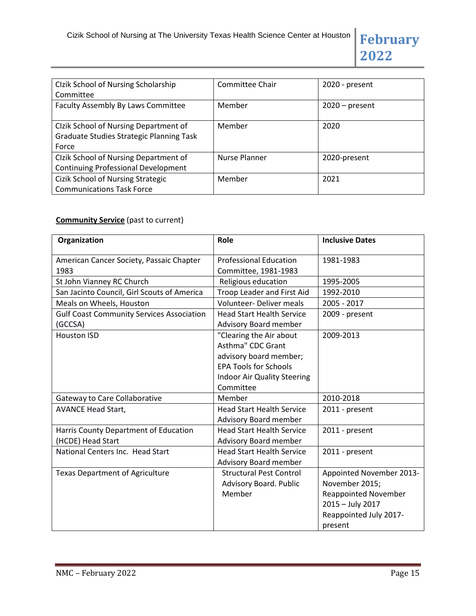| Clzik School of Nursing Scholarship<br>Committee                                                  | Committee Chair | 2020 - present   |
|---------------------------------------------------------------------------------------------------|-----------------|------------------|
| Faculty Assembly By Laws Committee                                                                | Member          | $2020$ – present |
| Clzik School of Nursing Department of<br><b>Graduate Studies Strategic Planning Task</b><br>Force | Member          | 2020             |
| Clzik School of Nursing Department of<br><b>Continuing Professional Development</b>               | Nurse Planner   | 2020-present     |
| <b>Cizik School of Nursing Strategic</b><br><b>Communications Task Force</b>                      | Member          | 2021             |

# **Community Service** (past to current)

| Organization                                                | Role                                                                                                                                               | <b>Inclusive Dates</b>                                                                                                             |
|-------------------------------------------------------------|----------------------------------------------------------------------------------------------------------------------------------------------------|------------------------------------------------------------------------------------------------------------------------------------|
| American Cancer Society, Passaic Chapter                    | <b>Professional Education</b>                                                                                                                      | 1981-1983                                                                                                                          |
| 1983                                                        | Committee, 1981-1983                                                                                                                               |                                                                                                                                    |
| St John Vianney RC Church                                   | Religious education                                                                                                                                | 1995-2005                                                                                                                          |
| San Jacinto Council, Girl Scouts of America                 | Troop Leader and First Aid                                                                                                                         | 1992-2010                                                                                                                          |
| Meals on Wheels, Houston                                    | <b>Volunteer- Deliver meals</b>                                                                                                                    | 2005 - 2017                                                                                                                        |
| <b>Gulf Coast Community Services Association</b><br>(GCCSA) | <b>Head Start Health Service</b><br>Advisory Board member                                                                                          | 2009 - present                                                                                                                     |
| <b>Houston ISD</b>                                          | "Clearing the Air about<br>Asthma" CDC Grant<br>advisory board member;<br><b>EPA Tools for Schools</b><br>Indoor Air Quality Steering<br>Committee | 2009-2013                                                                                                                          |
| Gateway to Care Collaborative                               | Member                                                                                                                                             | 2010-2018                                                                                                                          |
| <b>AVANCE Head Start,</b>                                   | <b>Head Start Health Service</b><br>Advisory Board member                                                                                          | 2011 - present                                                                                                                     |
| Harris County Department of Education<br>(HCDE) Head Start  | <b>Head Start Health Service</b><br>Advisory Board member                                                                                          | 2011 - present                                                                                                                     |
| National Centers Inc. Head Start                            | <b>Head Start Health Service</b><br>Advisory Board member                                                                                          | 2011 - present                                                                                                                     |
| <b>Texas Department of Agriculture</b>                      | <b>Structural Pest Control</b><br>Advisory Board. Public<br>Member                                                                                 | Appointed November 2013-<br>November 2015;<br><b>Reappointed November</b><br>2015 - July 2017<br>Reappointed July 2017-<br>present |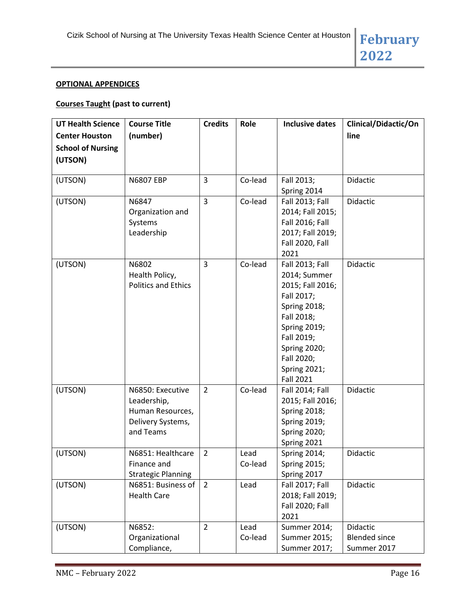#### **OPTIONAL APPENDICES**

# **Courses Taught (past to current)**

| <b>UT Health Science</b> | <b>Course Title</b>        | <b>Credits</b> | Role    | <b>Inclusive dates</b>                  | Clinical/Didactic/On |
|--------------------------|----------------------------|----------------|---------|-----------------------------------------|----------------------|
| <b>Center Houston</b>    | (number)                   |                |         |                                         | line                 |
| <b>School of Nursing</b> |                            |                |         |                                         |                      |
| (UTSON)                  |                            |                |         |                                         |                      |
|                          |                            |                |         |                                         |                      |
| (UTSON)                  | <b>N6807 EBP</b>           | 3              | Co-lead | Fall 2013;                              | Didactic             |
|                          |                            |                |         | Spring 2014                             |                      |
| (UTSON)                  | N6847                      | 3              | Co-lead | <b>Fall 2013; Fall</b>                  | Didactic             |
|                          | Organization and           |                |         | 2014; Fall 2015;                        |                      |
|                          | Systems                    |                |         | <b>Fall 2016; Fall</b>                  |                      |
|                          | Leadership                 |                |         | 2017; Fall 2019;                        |                      |
|                          |                            |                |         | Fall 2020, Fall                         |                      |
|                          |                            |                |         | 2021                                    |                      |
| (UTSON)                  | N6802                      | 3              | Co-lead | <b>Fall 2013; Fall</b>                  | Didactic             |
|                          | Health Policy,             |                |         | 2014; Summer                            |                      |
|                          | <b>Politics and Ethics</b> |                |         | 2015; Fall 2016;                        |                      |
|                          |                            |                |         | Fall 2017;                              |                      |
|                          |                            |                |         | <b>Spring 2018;</b>                     |                      |
|                          |                            |                |         | Fall 2018;                              |                      |
|                          |                            |                |         | <b>Spring 2019;</b>                     |                      |
|                          |                            |                |         | Fall 2019;                              |                      |
|                          |                            |                |         | <b>Spring 2020;</b>                     |                      |
|                          |                            |                |         | Fall 2020;                              |                      |
|                          |                            |                |         | <b>Spring 2021;</b><br><b>Fall 2021</b> |                      |
| (UTSON)                  | N6850: Executive           | $\overline{2}$ | Co-lead | <b>Fall 2014; Fall</b>                  | Didactic             |
|                          | Leadership,                |                |         | 2015; Fall 2016;                        |                      |
|                          | Human Resources,           |                |         | <b>Spring 2018;</b>                     |                      |
|                          | Delivery Systems,          |                |         | <b>Spring 2019;</b>                     |                      |
|                          | and Teams                  |                |         | <b>Spring 2020;</b>                     |                      |
|                          |                            |                |         | Spring 2021                             |                      |
| (UTSON)                  | N6851: Healthcare          | $\overline{2}$ | Lead    | <b>Spring 2014;</b>                     | Didactic             |
|                          | Finance and                |                | Co-lead | <b>Spring 2015;</b>                     |                      |
|                          | <b>Strategic Planning</b>  |                |         | Spring 2017                             |                      |
| (UTSON)                  | N6851: Business of         | $\overline{2}$ | Lead    | <b>Fall 2017; Fall</b>                  | Didactic             |
|                          | <b>Health Care</b>         |                |         | 2018; Fall 2019;                        |                      |
|                          |                            |                |         | <b>Fall 2020; Fall</b>                  |                      |
|                          |                            |                |         | 2021                                    |                      |
| (UTSON)                  | N6852:                     | $\overline{2}$ | Lead    | Summer 2014;                            | Didactic             |
|                          | Organizational             |                | Co-lead | Summer 2015;                            | <b>Blended since</b> |
|                          | Compliance,                |                |         | Summer 2017;                            | Summer 2017          |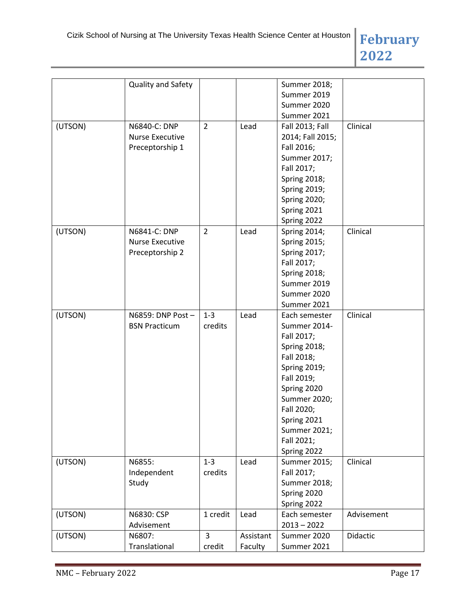|         | Quality and Safety     |                |           | Summer 2018;        |            |
|---------|------------------------|----------------|-----------|---------------------|------------|
|         |                        |                |           | Summer 2019         |            |
|         |                        |                |           | Summer 2020         |            |
|         |                        |                |           | Summer 2021         |            |
| (UTSON) | N6840-C: DNP           | $\overline{2}$ | Lead      | Fall 2013; Fall     | Clinical   |
|         | Nurse Executive        |                |           | 2014; Fall 2015;    |            |
|         | Preceptorship 1        |                |           | Fall 2016;          |            |
|         |                        |                |           | Summer 2017;        |            |
|         |                        |                |           | Fall 2017;          |            |
|         |                        |                |           | <b>Spring 2018;</b> |            |
|         |                        |                |           | <b>Spring 2019;</b> |            |
|         |                        |                |           | <b>Spring 2020;</b> |            |
|         |                        |                |           | Spring 2021         |            |
|         |                        |                |           | Spring 2022         |            |
| (UTSON) | N6841-C: DNP           | $\overline{2}$ | Lead      | <b>Spring 2014;</b> | Clinical   |
|         | <b>Nurse Executive</b> |                |           | <b>Spring 2015;</b> |            |
|         | Preceptorship 2        |                |           | <b>Spring 2017;</b> |            |
|         |                        |                |           | Fall 2017;          |            |
|         |                        |                |           | <b>Spring 2018;</b> |            |
|         |                        |                |           | Summer 2019         |            |
|         |                        |                |           | Summer 2020         |            |
|         |                        |                |           | Summer 2021         |            |
| (UTSON) | N6859: DNP Post -      | $1 - 3$        | Lead      | Each semester       | Clinical   |
|         | <b>BSN Practicum</b>   | credits        |           | Summer 2014-        |            |
|         |                        |                |           | Fall 2017;          |            |
|         |                        |                |           | <b>Spring 2018;</b> |            |
|         |                        |                |           | Fall 2018;          |            |
|         |                        |                |           | <b>Spring 2019;</b> |            |
|         |                        |                |           | Fall 2019;          |            |
|         |                        |                |           | Spring 2020         |            |
|         |                        |                |           | Summer 2020;        |            |
|         |                        |                |           | Fall 2020;          |            |
|         |                        |                |           | Spring 2021         |            |
|         |                        |                |           | Summer 2021;        |            |
|         |                        |                |           | Fall 2021;          |            |
|         |                        |                |           | Spring 2022         |            |
| (UTSON) | N6855:                 | $1 - 3$        | Lead      | Summer 2015;        | Clinical   |
|         | Independent            | credits        |           | Fall 2017;          |            |
|         | Study                  |                |           | Summer 2018;        |            |
|         |                        |                |           | Spring 2020         |            |
|         |                        |                |           | Spring 2022         |            |
| (UTSON) | N6830: CSP             | 1 credit       | Lead      | Each semester       | Advisement |
|         | Advisement             |                |           | $2013 - 2022$       |            |
| (UTSON) | N6807:                 | 3              | Assistant | Summer 2020         | Didactic   |
|         | Translational          | credit         | Faculty   | Summer 2021         |            |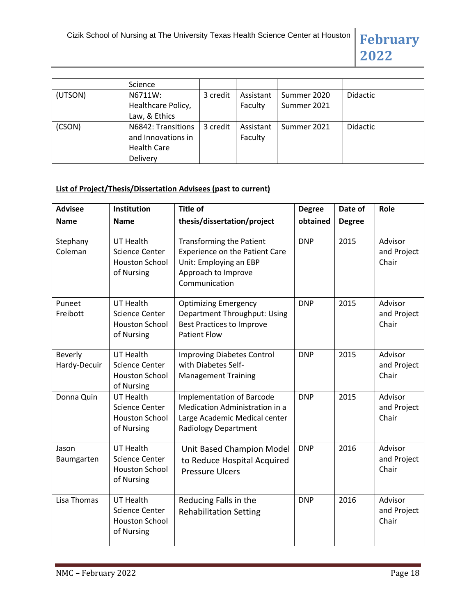|         | Science                                                                    |          |                      |                            |                 |
|---------|----------------------------------------------------------------------------|----------|----------------------|----------------------------|-----------------|
| (UTSON) | N6711W:<br>Healthcare Policy,<br>Law, & Ethics                             | 3 credit | Assistant<br>Faculty | Summer 2020<br>Summer 2021 | <b>Didactic</b> |
| (CSON)  | N6842: Transitions<br>and Innovations in<br><b>Health Care</b><br>Delivery | 3 credit | Assistant<br>Faculty | Summer 2021                | <b>Didactic</b> |

# **List of Project/Thesis/Dissertation Advisees (past to current)**

| <b>Advisee</b>          | Institution                                                                      | <b>Title of</b>                                                                                                                            | <b>Degree</b> | Date of       | Role                            |
|-------------------------|----------------------------------------------------------------------------------|--------------------------------------------------------------------------------------------------------------------------------------------|---------------|---------------|---------------------------------|
| <b>Name</b>             | <b>Name</b>                                                                      | thesis/dissertation/project                                                                                                                | obtained      | <b>Degree</b> |                                 |
| Stephany<br>Coleman     | <b>UT Health</b><br>Science Center<br><b>Houston School</b><br>of Nursing        | <b>Transforming the Patient</b><br><b>Experience on the Patient Care</b><br>Unit: Employing an EBP<br>Approach to Improve<br>Communication | <b>DNP</b>    | 2015          | Advisor<br>and Project<br>Chair |
| Puneet<br>Freibott      | <b>UT Health</b><br><b>Science Center</b><br><b>Houston School</b><br>of Nursing | <b>Optimizing Emergency</b><br>Department Throughput: Using<br><b>Best Practices to Improve</b><br><b>Patient Flow</b>                     | <b>DNP</b>    | 2015          | Advisor<br>and Project<br>Chair |
| Beverly<br>Hardy-Decuir | <b>UT Health</b><br><b>Science Center</b><br><b>Houston School</b><br>of Nursing | <b>Improving Diabetes Control</b><br>with Diabetes Self-<br><b>Management Training</b>                                                     | <b>DNP</b>    | 2015          | Advisor<br>and Project<br>Chair |
| Donna Quin              | <b>UT Health</b><br>Science Center<br><b>Houston School</b><br>of Nursing        | <b>Implementation of Barcode</b><br>Medication Administration in a<br>Large Academic Medical center<br><b>Radiology Department</b>         | <b>DNP</b>    | 2015          | Advisor<br>and Project<br>Chair |
| Jason<br>Baumgarten     | <b>UT Health</b><br>Science Center<br><b>Houston School</b><br>of Nursing        | Unit Based Champion Model<br>to Reduce Hospital Acquired<br><b>Pressure Ulcers</b>                                                         | <b>DNP</b>    | 2016          | Advisor<br>and Project<br>Chair |
| Lisa Thomas             | <b>UT Health</b><br>Science Center<br><b>Houston School</b><br>of Nursing        | Reducing Falls in the<br><b>Rehabilitation Setting</b>                                                                                     | <b>DNP</b>    | 2016          | Advisor<br>and Project<br>Chair |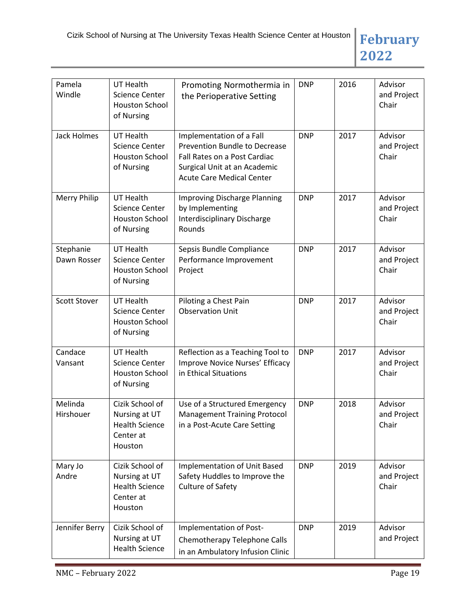

| Pamela<br>Windle         | <b>UT Health</b><br><b>Science Center</b><br><b>Houston School</b><br>of Nursing  | Promoting Normothermia in<br>the Perioperative Setting                                                                                                        | <b>DNP</b> | 2016 | Advisor<br>and Project<br>Chair |
|--------------------------|-----------------------------------------------------------------------------------|---------------------------------------------------------------------------------------------------------------------------------------------------------------|------------|------|---------------------------------|
| <b>Jack Holmes</b>       | <b>UT Health</b><br>Science Center<br><b>Houston School</b><br>of Nursing         | Implementation of a Fall<br>Prevention Bundle to Decrease<br>Fall Rates on a Post Cardiac<br>Surgical Unit at an Academic<br><b>Acute Care Medical Center</b> | <b>DNP</b> | 2017 | Advisor<br>and Project<br>Chair |
| <b>Merry Philip</b>      | <b>UT Health</b><br><b>Science Center</b><br><b>Houston School</b><br>of Nursing  | <b>Improving Discharge Planning</b><br>by Implementing<br><b>Interdisciplinary Discharge</b><br>Rounds                                                        | <b>DNP</b> | 2017 | Advisor<br>and Project<br>Chair |
| Stephanie<br>Dawn Rosser | <b>UT Health</b><br><b>Science Center</b><br><b>Houston School</b><br>of Nursing  | Sepsis Bundle Compliance<br>Performance Improvement<br>Project                                                                                                | <b>DNP</b> | 2017 | Advisor<br>and Project<br>Chair |
| <b>Scott Stover</b>      | <b>UT Health</b><br><b>Science Center</b><br><b>Houston School</b><br>of Nursing  | Piloting a Chest Pain<br><b>Observation Unit</b>                                                                                                              | <b>DNP</b> | 2017 | Advisor<br>and Project<br>Chair |
| Candace<br>Vansant       | <b>UT Health</b><br><b>Science Center</b><br><b>Houston School</b><br>of Nursing  | Reflection as a Teaching Tool to<br>Improve Novice Nurses' Efficacy<br>in Ethical Situations                                                                  | <b>DNP</b> | 2017 | Advisor<br>and Project<br>Chair |
| Melinda<br>Hirshouer     | Cizik School of<br>Nursing at UT<br><b>Health Science</b><br>Center at<br>Houston | Use of a Structured Emergency<br><b>Management Training Protocol</b><br>in a Post-Acute Care Setting                                                          | <b>DNP</b> | 2018 | Advisor<br>and Project<br>Chair |
| Mary Jo<br>Andre         | Cizik School of<br>Nursing at UT<br><b>Health Science</b><br>Center at<br>Houston | Implementation of Unit Based<br>Safety Huddles to Improve the<br><b>Culture of Safety</b>                                                                     | <b>DNP</b> | 2019 | Advisor<br>and Project<br>Chair |
| Jennifer Berry           | Cizik School of<br>Nursing at UT<br><b>Health Science</b>                         | Implementation of Post-<br>Chemotherapy Telephone Calls<br>in an Ambulatory Infusion Clinic                                                                   | <b>DNP</b> | 2019 | Advisor<br>and Project          |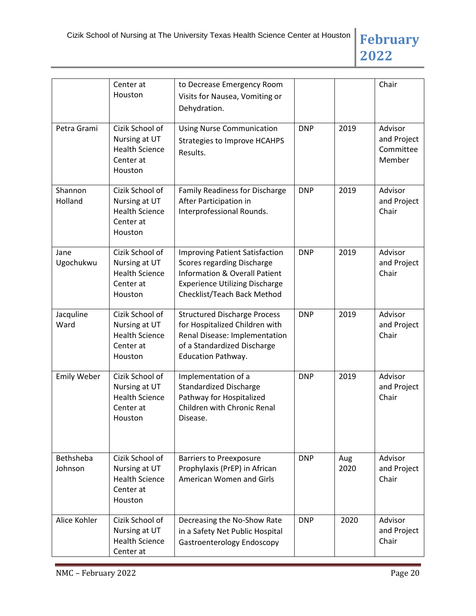

|                             | Center at<br>Houston                                                              | to Decrease Emergency Room<br>Visits for Nausea, Vomiting or<br>Dehydration.                                                                                                                   |            |             | Chair                                         |
|-----------------------------|-----------------------------------------------------------------------------------|------------------------------------------------------------------------------------------------------------------------------------------------------------------------------------------------|------------|-------------|-----------------------------------------------|
| Petra Grami                 | Cizik School of<br>Nursing at UT<br><b>Health Science</b><br>Center at<br>Houston | <b>Using Nurse Communication</b><br><b>Strategies to Improve HCAHPS</b><br>Results.                                                                                                            | <b>DNP</b> | 2019        | Advisor<br>and Project<br>Committee<br>Member |
| Shannon<br>Holland          | Cizik School of<br>Nursing at UT<br><b>Health Science</b><br>Center at<br>Houston | <b>Family Readiness for Discharge</b><br>After Participation in<br>Interprofessional Rounds.                                                                                                   | <b>DNP</b> | 2019        | Advisor<br>and Project<br>Chair               |
| Jane<br>Ugochukwu           | Cizik School of<br>Nursing at UT<br><b>Health Science</b><br>Center at<br>Houston | <b>Improving Patient Satisfaction</b><br><b>Scores regarding Discharge</b><br><b>Information &amp; Overall Patient</b><br><b>Experience Utilizing Discharge</b><br>Checklist/Teach Back Method | <b>DNP</b> | 2019        | Advisor<br>and Project<br>Chair               |
| Jacquline<br>Ward           | Cizik School of<br>Nursing at UT<br><b>Health Science</b><br>Center at<br>Houston | <b>Structured Discharge Process</b><br>for Hospitalized Children with<br>Renal Disease: Implementation<br>of a Standardized Discharge<br><b>Education Pathway.</b>                             | <b>DNP</b> | 2019        | Advisor<br>and Project<br>Chair               |
| <b>Emily Weber</b>          | Cizik School of<br>Nursing at UT<br><b>Health Science</b><br>Center at<br>Houston | Implementation of a<br><b>Standardized Discharge</b><br>Pathway for Hospitalized<br>Children with Chronic Renal<br>Disease.                                                                    | <b>DNP</b> | 2019        | Advisor<br>and Project<br>Chair               |
| <b>Bethsheba</b><br>Johnson | Cizik School of<br>Nursing at UT<br><b>Health Science</b><br>Center at<br>Houston | <b>Barriers to Preexposure</b><br>Prophylaxis (PrEP) in African<br>American Women and Girls                                                                                                    | <b>DNP</b> | Aug<br>2020 | Advisor<br>and Project<br>Chair               |
| Alice Kohler                | Cizik School of<br>Nursing at UT<br><b>Health Science</b><br>Center at            | Decreasing the No-Show Rate<br>in a Safety Net Public Hospital<br><b>Gastroenterology Endoscopy</b>                                                                                            | <b>DNP</b> | 2020        | Advisor<br>and Project<br>Chair               |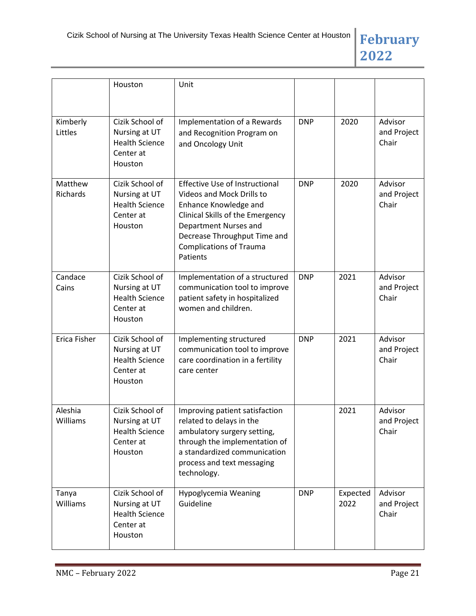

|                     | Houston                                                                           | Unit                                                                                                                                                                                                                                   |            |                  |                                 |
|---------------------|-----------------------------------------------------------------------------------|----------------------------------------------------------------------------------------------------------------------------------------------------------------------------------------------------------------------------------------|------------|------------------|---------------------------------|
| Kimberly<br>Littles | Cizik School of<br>Nursing at UT<br><b>Health Science</b><br>Center at<br>Houston | Implementation of a Rewards<br>and Recognition Program on<br>and Oncology Unit                                                                                                                                                         | <b>DNP</b> | 2020             | Advisor<br>and Project<br>Chair |
| Matthew<br>Richards | Cizik School of<br>Nursing at UT<br><b>Health Science</b><br>Center at<br>Houston | <b>Effective Use of Instructional</b><br>Videos and Mock Drills to<br>Enhance Knowledge and<br>Clinical Skills of the Emergency<br>Department Nurses and<br>Decrease Throughput Time and<br><b>Complications of Trauma</b><br>Patients | <b>DNP</b> | 2020             | Advisor<br>and Project<br>Chair |
| Candace<br>Cains    | Cizik School of<br>Nursing at UT<br><b>Health Science</b><br>Center at<br>Houston | Implementation of a structured<br>communication tool to improve<br>patient safety in hospitalized<br>women and children.                                                                                                               | <b>DNP</b> | 2021             | Advisor<br>and Project<br>Chair |
| <b>Erica Fisher</b> | Cizik School of<br>Nursing at UT<br><b>Health Science</b><br>Center at<br>Houston | Implementing structured<br>communication tool to improve<br>care coordination in a fertility<br>care center                                                                                                                            | <b>DNP</b> | 2021             | Advisor<br>and Project<br>Chair |
| Aleshia<br>Williams | Cizik School of<br>Nursing at UT<br><b>Health Science</b><br>Center at<br>Houston | Improving patient satisfaction<br>related to delays in the<br>ambulatory surgery setting,<br>through the implementation of<br>a standardized communication<br>process and text messaging<br>technology.                                |            | 2021             | Advisor<br>and Project<br>Chair |
| Tanya<br>Williams   | Cizik School of<br>Nursing at UT<br><b>Health Science</b><br>Center at<br>Houston | Hypoglycemia Weaning<br>Guideline                                                                                                                                                                                                      | <b>DNP</b> | Expected<br>2022 | Advisor<br>and Project<br>Chair |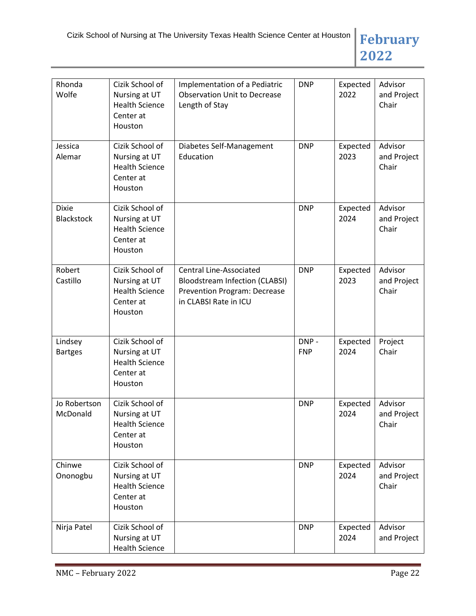

| Rhonda<br>Wolfe                   | Cizik School of<br>Nursing at UT<br><b>Health Science</b><br>Center at<br>Houston | Implementation of a Pediatric<br><b>Observation Unit to Decrease</b><br>Length of Stay                                                  | <b>DNP</b>         | Expected<br>2022 | Advisor<br>and Project<br>Chair |
|-----------------------------------|-----------------------------------------------------------------------------------|-----------------------------------------------------------------------------------------------------------------------------------------|--------------------|------------------|---------------------------------|
| Jessica<br>Alemar                 | Cizik School of<br>Nursing at UT<br><b>Health Science</b><br>Center at<br>Houston | Diabetes Self-Management<br>Education                                                                                                   | <b>DNP</b>         | Expected<br>2023 | Advisor<br>and Project<br>Chair |
| <b>Dixie</b><br><b>Blackstock</b> | Cizik School of<br>Nursing at UT<br><b>Health Science</b><br>Center at<br>Houston |                                                                                                                                         | <b>DNP</b>         | Expected<br>2024 | Advisor<br>and Project<br>Chair |
| Robert<br>Castillo                | Cizik School of<br>Nursing at UT<br><b>Health Science</b><br>Center at<br>Houston | <b>Central Line-Associated</b><br><b>Bloodstream Infection (CLABSI)</b><br><b>Prevention Program: Decrease</b><br>in CLABSI Rate in ICU | <b>DNP</b>         | Expected<br>2023 | Advisor<br>and Project<br>Chair |
| Lindsey<br><b>Bartges</b>         | Cizik School of<br>Nursing at UT<br><b>Health Science</b><br>Center at<br>Houston |                                                                                                                                         | DNP-<br><b>FNP</b> | Expected<br>2024 | Project<br>Chair                |
| Jo Robertson<br>McDonald          | Cizik School of<br>Nursing at UT<br><b>Health Science</b><br>Center at<br>Houston |                                                                                                                                         | <b>DNP</b>         | Expected<br>2024 | Advisor<br>and Project<br>Chair |
| Chinwe<br>Ononogbu                | Cizik School of<br>Nursing at UT<br><b>Health Science</b><br>Center at<br>Houston |                                                                                                                                         | <b>DNP</b>         | Expected<br>2024 | Advisor<br>and Project<br>Chair |
| Nirja Patel                       | Cizik School of<br>Nursing at UT<br><b>Health Science</b>                         |                                                                                                                                         | <b>DNP</b>         | Expected<br>2024 | Advisor<br>and Project          |